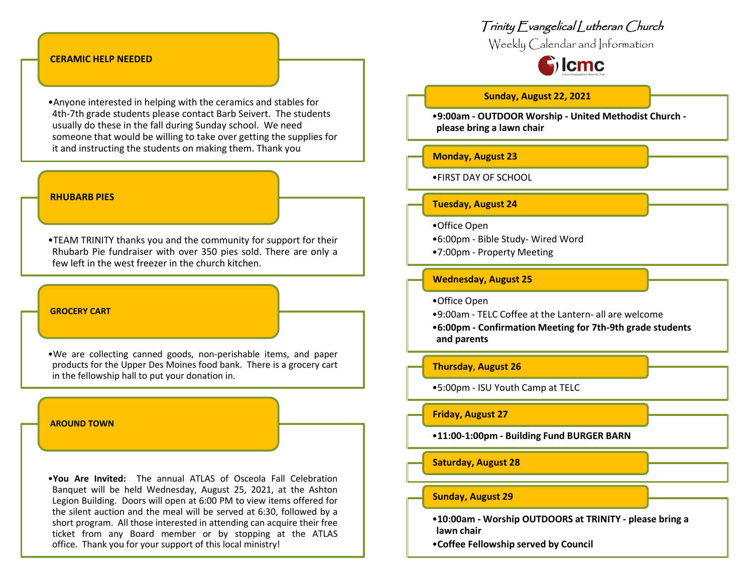Trinity Evangelical Lutheran Church

Weekly Calendar and Information



#### **CERAMIC HELP NEEDED**

•Anyone interested in helping with the ceramics and stables for 4th-7th grade students please contact Barb Seivert. The students usually do these in the fall during Sunday school. We need someone that would be willing to take over getting the supplies for it and instructing the students on making them. Thank you

#### **RHUBARB PIES**

•TEAM TRINITY thanks you and the community for support for their Rhubarb Pie fundraiser with over 350 pies sold. There are only a few left in the west freezer in the church kitchen.

#### **GROCERY CART**

•We are collecting canned goods, non-perishable items, and paper products for the Upper Des Moines food bank. There is a grocery cart in the fellowship hall to put your donation in.

**AROUND TOWN**

•**You Are Invited:** The annual ATLAS of Osceola Fall Celebration Banquet will be held Wednesday, August 25, 2021, at the Ashton Legion Building. Doors will open at 6:00 PM to view items offered for the silent auction and the meal will be served at 6:30, followed by a short program. All those interested in attending can acquire their free ticket from any Board member or by stopping at the ATLAS office. Thank you for your support of this local ministry!

## **Sunday, August 22, 2021**

•**9:00am - OUTDOOR Worship - United Methodist Church please bring a lawn chair**

# **Monday, August 23**

•FIRST DAY OF SCHOOL

# **Tuesday, August 24**

- •Office Open
- •6:00pm Bible Study- Wired Word
- •7:00pm Property Meeting

# **Wednesday, August 25**

- •Office Open
- •9:00am TELC Coffee at the Lantern- all are welcome
- •**6:00pm - Confirmation Meeting for 7th-9th grade students and parents**

# **Thursday**, **August 26**

•5:00pm - ISU Youth Camp at TELC

# **Friday, August 27**

•**11:00-1:00pm - Building Fund BURGER BARN**

## **Saturday, August 28**

# **Sunday, August 29**

- •**10:00am - Worship OUTDOORS at TRINITY - please bring a lawn chair**
- •**Coffee Fellowship served by Council**